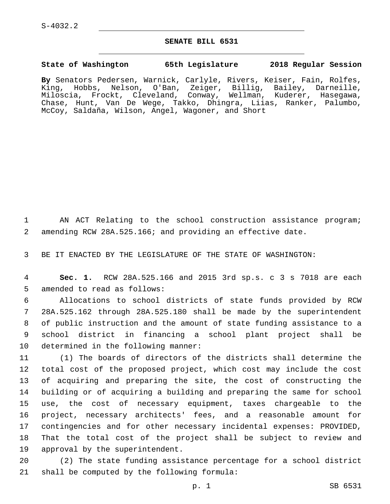## **SENATE BILL 6531**

## **State of Washington 65th Legislature 2018 Regular Session**

**By** Senators Pedersen, Warnick, Carlyle, Rivers, Keiser, Fain, Rolfes, King, Hobbs, Nelson, O'Ban, Zeiger, Billig, Bailey, Darneille, Miloscia, Frockt, Cleveland, Conway, Wellman, Kuderer, Hasegawa, Chase, Hunt, Van De Wege, Takko, Dhingra, Liias, Ranker, Palumbo, McCoy, Saldaña, Wilson, Angel, Wagoner, and Short

1 AN ACT Relating to the school construction assistance program; 2 amending RCW 28A.525.166; and providing an effective date.

3 BE IT ENACTED BY THE LEGISLATURE OF THE STATE OF WASHINGTON:

4 **Sec. 1.** RCW 28A.525.166 and 2015 3rd sp.s. c 3 s 7018 are each 5 amended to read as follows:

 Allocations to school districts of state funds provided by RCW 28A.525.162 through 28A.525.180 shall be made by the superintendent of public instruction and the amount of state funding assistance to a school district in financing a school plant project shall be 10 determined in the following manner:

 (1) The boards of directors of the districts shall determine the total cost of the proposed project, which cost may include the cost of acquiring and preparing the site, the cost of constructing the building or of acquiring a building and preparing the same for school use, the cost of necessary equipment, taxes chargeable to the project, necessary architects' fees, and a reasonable amount for contingencies and for other necessary incidental expenses: PROVIDED, That the total cost of the project shall be subject to review and 19 approval by the superintendent.

20 (2) The state funding assistance percentage for a school district 21 shall be computed by the following formula: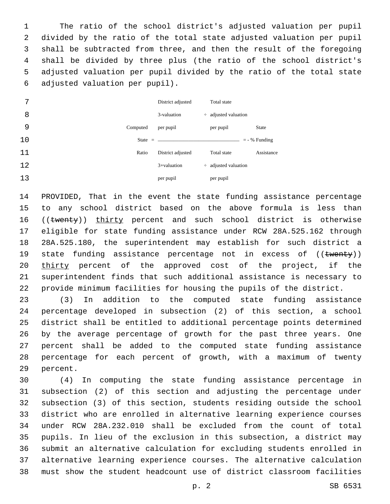The ratio of the school district's adjusted valuation per pupil divided by the ratio of the total state adjusted valuation per pupil shall be subtracted from three, and then the result of the foregoing shall be divided by three plus (the ratio of the school district's adjusted valuation per pupil divided by the ratio of the total state adjusted valuation per pupil).6

| 7  |          | District adjusted | Total state               |                 |
|----|----------|-------------------|---------------------------|-----------------|
| 8  |          | 3-valuation       | $\div$ adjusted valuation |                 |
| 9  | Computed | per pupil         | per pupil                 | <b>State</b>    |
| 10 |          |                   |                           | $=$ - % Funding |
| 11 | Ratio    | District adjusted | Total state               | Assistance      |
| 12 |          | $3 +$ valuation   | $\div$ adjusted valuation |                 |
| 13 |          | per pupil         | per pupil                 |                 |

 PROVIDED, That in the event the state funding assistance percentage to any school district based on the above formula is less than 16 ((twenty)) thirty percent and such school district is otherwise eligible for state funding assistance under RCW 28A.525.162 through 28A.525.180, the superintendent may establish for such district a 19 state funding assistance percentage not in excess of ((twenty)) thirty percent of the approved cost of the project, if the superintendent finds that such additional assistance is necessary to provide minimum facilities for housing the pupils of the district.

 (3) In addition to the computed state funding assistance percentage developed in subsection (2) of this section, a school district shall be entitled to additional percentage points determined by the average percentage of growth for the past three years. One percent shall be added to the computed state funding assistance percentage for each percent of growth, with a maximum of twenty 29 percent.

 (4) In computing the state funding assistance percentage in subsection (2) of this section and adjusting the percentage under subsection (3) of this section, students residing outside the school district who are enrolled in alternative learning experience courses under RCW 28A.232.010 shall be excluded from the count of total pupils. In lieu of the exclusion in this subsection, a district may submit an alternative calculation for excluding students enrolled in alternative learning experience courses. The alternative calculation must show the student headcount use of district classroom facilities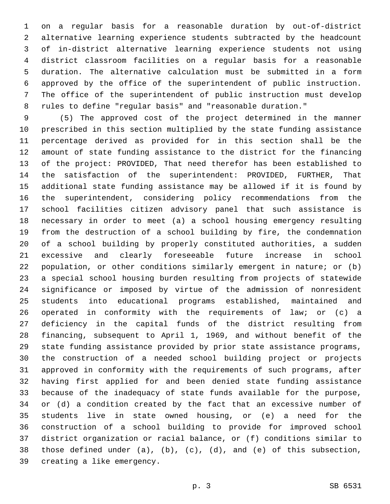on a regular basis for a reasonable duration by out-of-district alternative learning experience students subtracted by the headcount of in-district alternative learning experience students not using district classroom facilities on a regular basis for a reasonable duration. The alternative calculation must be submitted in a form approved by the office of the superintendent of public instruction. The office of the superintendent of public instruction must develop rules to define "regular basis" and "reasonable duration."

 (5) The approved cost of the project determined in the manner prescribed in this section multiplied by the state funding assistance percentage derived as provided for in this section shall be the amount of state funding assistance to the district for the financing of the project: PROVIDED, That need therefor has been established to the satisfaction of the superintendent: PROVIDED, FURTHER, That additional state funding assistance may be allowed if it is found by the superintendent, considering policy recommendations from the school facilities citizen advisory panel that such assistance is necessary in order to meet (a) a school housing emergency resulting from the destruction of a school building by fire, the condemnation of a school building by properly constituted authorities, a sudden excessive and clearly foreseeable future increase in school population, or other conditions similarly emergent in nature; or (b) a special school housing burden resulting from projects of statewide significance or imposed by virtue of the admission of nonresident students into educational programs established, maintained and operated in conformity with the requirements of law; or (c) a deficiency in the capital funds of the district resulting from financing, subsequent to April 1, 1969, and without benefit of the state funding assistance provided by prior state assistance programs, the construction of a needed school building project or projects approved in conformity with the requirements of such programs, after having first applied for and been denied state funding assistance because of the inadequacy of state funds available for the purpose, or (d) a condition created by the fact that an excessive number of students live in state owned housing, or (e) a need for the construction of a school building to provide for improved school district organization or racial balance, or (f) conditions similar to those defined under (a), (b), (c), (d), and (e) of this subsection, 39 creating a like emergency.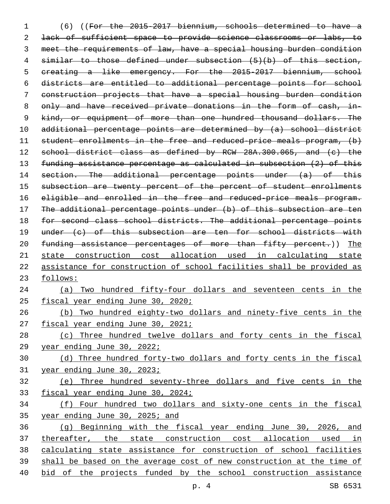(6) ((For the 2015-2017 biennium, schools determined to have a 2 lack of sufficient space to provide science classrooms or labs, to meet the requirements of law, have a special housing burden condition similar to those defined under subsection (5)(b) of this section, 5 creating a like emergency. For the 2015-2017 biennium, school districts are entitled to additional percentage points for school construction projects that have a special housing burden condition only and have received private donations in the form of cash, in-9 kind, or equipment of more than one hundred thousand dollars. The additional percentage points are determined by (a) school district student enrollments in the free and reduced-price meals program, (b) 12 school district class as defined by RCW 28A.300.065, and (c) the funding assistance percentage as calculated in subsection (2) of this 14 section. The additional percentage points under (a) of this 15 subsection are twenty percent of the percent of student enrollments 16 eligible and enrolled in the free and reduced-price meals program. The additional percentage points under (b) of this subsection are ten 18 for second class school districts. The additional percentage points under (c) of this subsection are ten for school districts with 20 funding assistance percentages of more than fifty percent.)) The state construction cost allocation used in calculating state assistance for construction of school facilities shall be provided as follows: (a) Two hundred fifty-four dollars and seventeen cents in the 25 fiscal year ending June 30, 2020; (b) Two hundred eighty-two dollars and ninety-five cents in the 27 fiscal year ending June 30, 2021; (c) Three hundred twelve dollars and forty cents in the fiscal year ending June 30, 2022; (d) Three hundred forty-two dollars and forty cents in the fiscal year ending June 30, 2023; (e) Three hundred seventy-three dollars and five cents in the 33 fiscal year ending June 30, 2024; (f) Four hundred two dollars and sixty-one cents in the fiscal year ending June 30, 2025; and (g) Beginning with the fiscal year ending June 30, 2026, and thereafter, the state construction cost allocation used in calculating state assistance for construction of school facilities shall be based on the average cost of new construction at the time of bid of the projects funded by the school construction assistance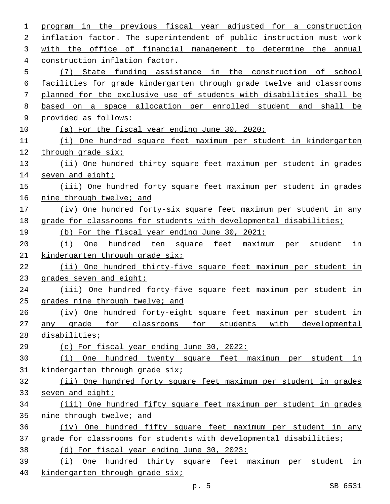| 1  | program in the previous fiscal year adjusted for a construction       |  |  |
|----|-----------------------------------------------------------------------|--|--|
| 2  | inflation factor. The superintendent of public instruction must work  |  |  |
| 3  | with the office of financial management to determine the annual       |  |  |
| 4  | construction inflation factor.                                        |  |  |
| 5  | (7) State funding assistance in the construction of school            |  |  |
| 6  | facilities for grade kindergarten through grade twelve and classrooms |  |  |
| 7  | planned for the exclusive use of students with disabilities shall be  |  |  |
| 8  | based on a space allocation per enrolled student and shall be         |  |  |
| 9  | provided as follows:                                                  |  |  |
| 10 | (a) For the fiscal year ending June 30, 2020:                         |  |  |
| 11 | (i) One hundred square feet maximum per student in kindergarten       |  |  |
| 12 | through grade six;                                                    |  |  |
| 13 | (ii) One hundred thirty square feet maximum per student in grades     |  |  |
| 14 | seven and eight;                                                      |  |  |
| 15 | (iii) One hundred forty square feet maximum per student in grades     |  |  |
| 16 | nine through twelve; and                                              |  |  |
| 17 | (iv) One hundred forty-six square feet maximum per student in any     |  |  |
| 18 | grade for classrooms for students with developmental disabilities;    |  |  |
| 19 | (b) For the fiscal year ending June 30, 2021:                         |  |  |
| 20 | One hundred ten square feet maximum per student<br>(i)<br>in          |  |  |
| 21 | kindergarten through grade six;                                       |  |  |
| 22 | (ii) One hundred thirty-five square feet maximum per student in       |  |  |
| 23 | grades seven and eight;                                               |  |  |
| 24 | (iii) One hundred forty-five square feet maximum per student in       |  |  |
| 25 | grades nine through twelve; and                                       |  |  |
| 26 | (iv) One hundred forty-eight square feet maximum per student in       |  |  |
| 27 | any grade for classrooms for students with developmental              |  |  |
| 28 | disabilities;                                                         |  |  |
| 29 | (c) For fiscal year ending June 30, 2022:                             |  |  |
| 30 | (i) One hundred twenty square feet maximum per student in             |  |  |
| 31 | kindergarten through grade six;                                       |  |  |
| 32 | (ii) One hundred forty square feet maximum per student in grades      |  |  |
| 33 | seven and eight;                                                      |  |  |
| 34 | (iii) One hundred fifty square feet maximum per student in grades     |  |  |
| 35 | nine through twelve; and                                              |  |  |
| 36 | (iv) One hundred fifty square feet maximum per student in any         |  |  |
| 37 | grade for classrooms for students with developmental disabilities;    |  |  |
| 38 | (d) For fiscal year ending June 30, 2023:                             |  |  |
| 39 | (i) One hundred thirty square feet maximum per student in             |  |  |
| 40 | kindergarten through grade six;                                       |  |  |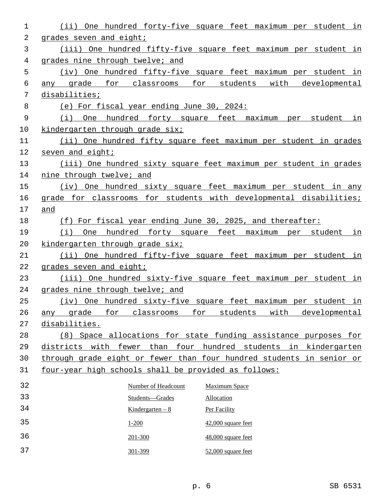| 1  | One hundred forty-five square feet maximum per student in<br>(iii)                   |
|----|--------------------------------------------------------------------------------------|
| 2  | grades seven and eight;                                                              |
| 3  | (iii) One hundred fifty-five square feet maximum per student in                      |
| 4  | grades nine through twelve; and                                                      |
| 5  | (iv) One hundred fifty-five square feet maximum per student in                       |
| 6  | students with<br>qrade<br>for classrooms<br>for<br>developmental<br>any              |
| 7  | disabilities;                                                                        |
| 8  | (e) For fiscal year ending June 30, 2024:                                            |
| 9  | (i) One hundred forty square feet maximum per student<br>in                          |
| 10 | kindergarten through grade six;                                                      |
| 11 | (ii) One hundred fifty square feet maximum per student in grades                     |
| 12 | seven and eight;                                                                     |
| 13 | (iii) One hundred sixty square feet maximum per student in grades                    |
| 14 | nine through twelve; and                                                             |
| 15 | (iv) One hundred sixty square feet maximum per student in any                        |
| 16 | grade for classrooms for students with developmental disabilities;                   |
| 17 | and                                                                                  |
| 18 | (f) For fiscal year ending June 30, 2025, and thereafter:                            |
| 19 | (i)<br>One hundred forty square feet maximum per student in                          |
| 20 | kindergarten through grade six;                                                      |
| 21 | (ii) One hundred fifty-five square feet maximum per student in                       |
| 22 | grades seven and eight;                                                              |
| 23 | (iii) One hundred sixty-five square feet maximum per student in                      |
| 24 | grades nine through twelve; and                                                      |
| 25 | (iv) One hundred sixty-five square feet maximum per student in                       |
| 26 | grade<br>students<br>with<br>developmental<br><u>for</u><br>classrooms<br>for<br>any |
| 27 | disabilities.                                                                        |
| 28 | (8) Space allocations for state funding assistance purposes for                      |
| 29 | districts with fewer than four hundred students in kindergarten                      |
| 30 | through grade eight or fewer than four hundred students in senior or                 |
| 31 | four-year high schools shall be provided as follows:                                 |
| 32 | Number of Headcount<br><b>Maximum Space</b>                                          |
| 33 | Students-Grades<br>Allocation                                                        |
| 34 | Kindergarten $-8$<br>Per Facility                                                    |
| 35 | $1 - 200$<br>42,000 square feet                                                      |
| 36 | 48,000 square feet<br>201-300                                                        |
| 37 | 301-399<br>52,000 square feet                                                        |